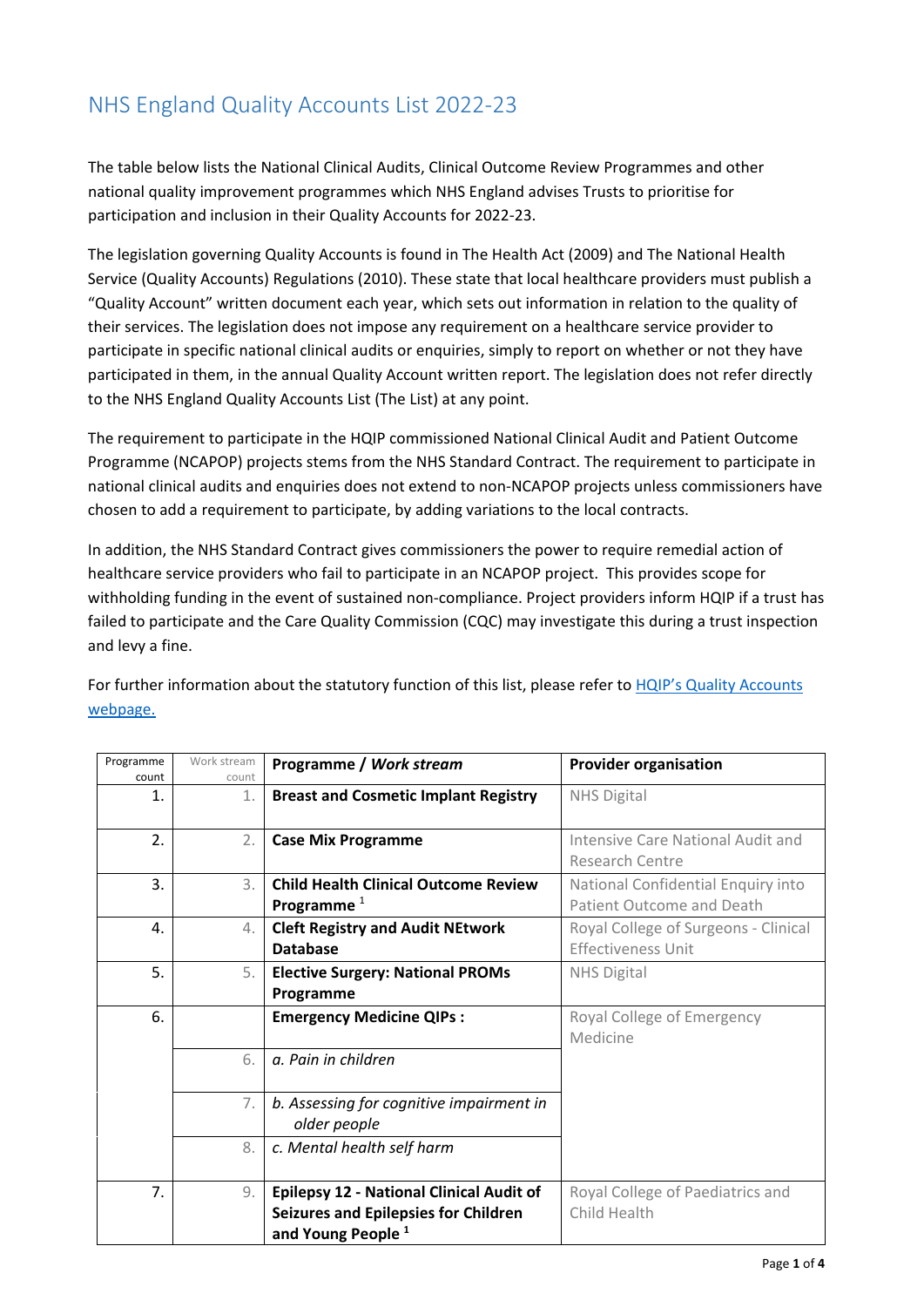## NHS England Quality Accounts List 2022-23

The table below lists the National Clinical Audits, Clinical Outcome Review Programmes and other national quality improvement programmes which NHS England advises Trusts to prioritise for participation and inclusion in their Quality Accounts for 2022-23.

The legislation governing Quality Accounts is found in The Health Act (2009) and The National Health Service (Quality Accounts) Regulations (2010). These state that local healthcare providers must publish a "Quality Account" written document each year, which sets out information in relation to the quality of their services. The legislation does not impose any requirement on a healthcare service provider to participate in specific national clinical audits or enquiries, simply to report on whether or not they have participated in them, in the annual Quality Account written report. The legislation does not refer directly to the NHS England Quality Accounts List (The List) at any point.

The requirement to participate in the HQIP commissioned National Clinical Audit and Patient Outcome Programme (NCAPOP) projects stems from the NHS Standard Contract. The requirement to participate in national clinical audits and enquiries does not extend to non-NCAPOP projects unless commissioners have chosen to add a requirement to participate, by adding variations to the local contracts.

In addition, the NHS Standard Contract gives commissioners the power to require remedial action of healthcare service providers who fail to participate in an NCAPOP project. This provides scope for withholding funding in the event of sustained non-compliance. Project providers inform HQIP if a trust has failed to participate and the Care Quality Commission (CQC) may investigate this during a trust inspection and levy a fine.

For further information about the statutory function of this list, please refer to HQIP's Quality Accounts [webpage.](https://www.hqip.org.uk/national-programmes/quality-accounts/#.YZt7K9DP2Cg)

| Programme<br>count | Work stream<br>count | Programme / Work stream                                                                                                         | <b>Provider organisation</b>                                      |
|--------------------|----------------------|---------------------------------------------------------------------------------------------------------------------------------|-------------------------------------------------------------------|
| 1.                 | 1.                   | <b>Breast and Cosmetic Implant Registry</b>                                                                                     | <b>NHS Digital</b>                                                |
| 2.                 | 2.                   | <b>Case Mix Programme</b>                                                                                                       | Intensive Care National Audit and<br><b>Research Centre</b>       |
| 3.                 | 3.                   | <b>Child Health Clinical Outcome Review</b><br>Programme $1$                                                                    | National Confidential Enquiry into<br>Patient Outcome and Death   |
| 4.                 | 4.                   | <b>Cleft Registry and Audit NEtwork</b><br><b>Database</b>                                                                      | Royal College of Surgeons - Clinical<br><b>Effectiveness Unit</b> |
| 5.                 | 5.                   | <b>Elective Surgery: National PROMs</b><br>Programme                                                                            | <b>NHS Digital</b>                                                |
| 6.                 |                      | <b>Emergency Medicine QIPs:</b>                                                                                                 | Royal College of Emergency<br>Medicine                            |
|                    | 6.                   | a. Pain in children                                                                                                             |                                                                   |
|                    | 7.                   | b. Assessing for cognitive impairment in<br>older people                                                                        |                                                                   |
|                    | 8.                   | c. Mental health self harm                                                                                                      |                                                                   |
| 7.                 | 9.                   | <b>Epilepsy 12 - National Clinical Audit of</b><br><b>Seizures and Epilepsies for Children</b><br>and Young People <sup>1</sup> | Royal College of Paediatrics and<br>Child Health                  |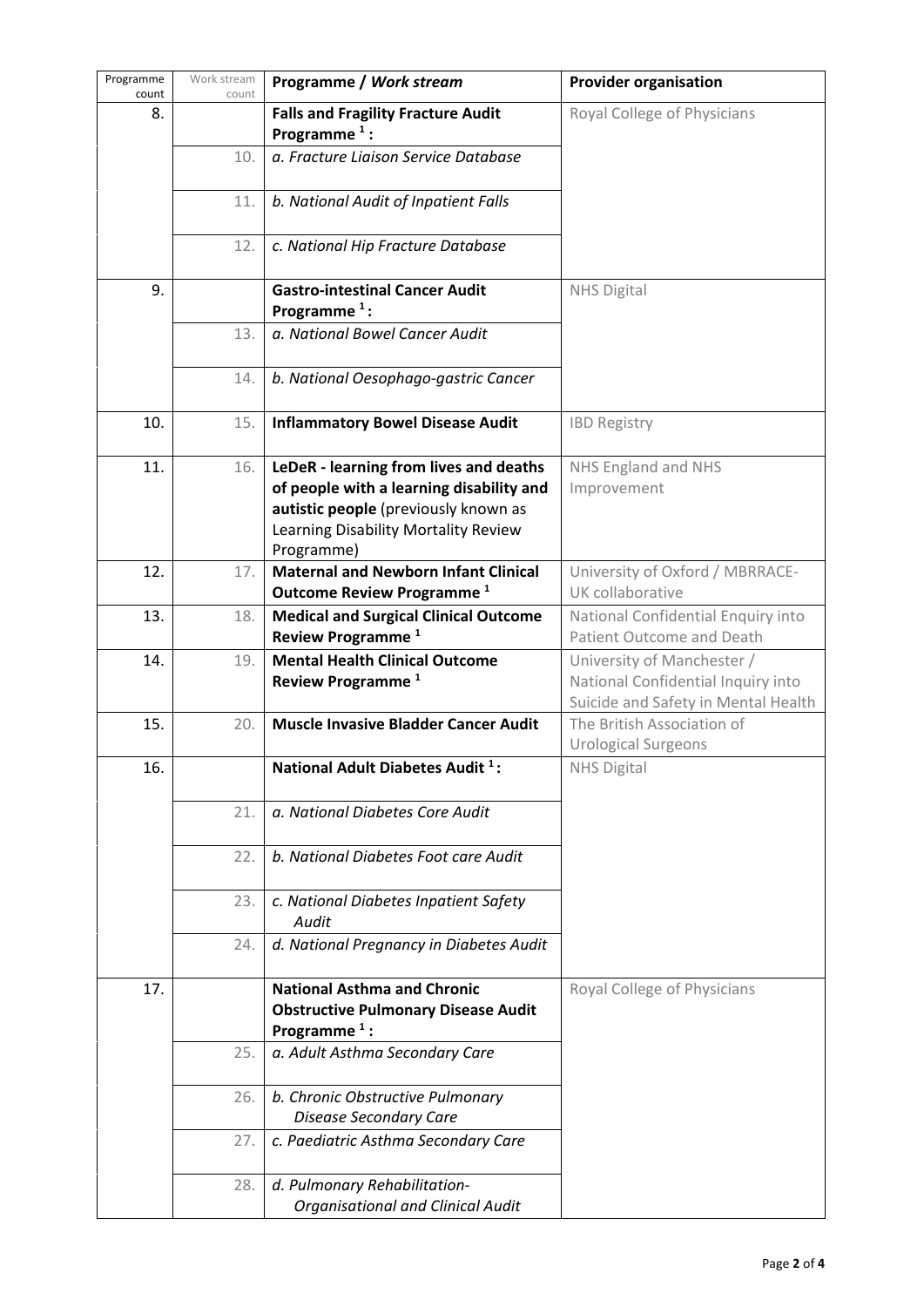| Programme<br>count | Work stream<br>count | Programme / Work stream                                                                                                                                                          | <b>Provider organisation</b>                                                                            |
|--------------------|----------------------|----------------------------------------------------------------------------------------------------------------------------------------------------------------------------------|---------------------------------------------------------------------------------------------------------|
| 8.                 |                      | <b>Falls and Fragility Fracture Audit</b><br>Programme $1$ :                                                                                                                     | Royal College of Physicians                                                                             |
|                    | 10.                  | a. Fracture Liaison Service Database                                                                                                                                             |                                                                                                         |
|                    | 11.                  | b. National Audit of Inpatient Falls                                                                                                                                             |                                                                                                         |
|                    | 12.                  | c. National Hip Fracture Database                                                                                                                                                |                                                                                                         |
| 9.                 |                      | <b>Gastro-intestinal Cancer Audit</b><br>Programme $1$ :                                                                                                                         | NHS Digital                                                                                             |
|                    | 13.                  | a. National Bowel Cancer Audit                                                                                                                                                   |                                                                                                         |
|                    | 14.                  | b. National Oesophago-gastric Cancer                                                                                                                                             |                                                                                                         |
| 10.                | 15.                  | <b>Inflammatory Bowel Disease Audit</b>                                                                                                                                          | <b>IBD Registry</b>                                                                                     |
| 11.                | 16.                  | LeDeR - learning from lives and deaths<br>of people with a learning disability and<br>autistic people (previously known as<br>Learning Disability Mortality Review<br>Programme) | NHS England and NHS<br>Improvement                                                                      |
| 12.                | 17.                  | <b>Maternal and Newborn Infant Clinical</b><br>Outcome Review Programme <sup>1</sup>                                                                                             | University of Oxford / MBRRACE-<br>UK collaborative                                                     |
| 13.                | 18.                  | <b>Medical and Surgical Clinical Outcome</b><br>Review Programme <sup>1</sup>                                                                                                    | National Confidential Enquiry into<br>Patient Outcome and Death                                         |
| 14.                | 19.                  | <b>Mental Health Clinical Outcome</b><br>Review Programme <sup>1</sup>                                                                                                           | University of Manchester /<br>National Confidential Inquiry into<br>Suicide and Safety in Mental Health |
| 15.                | 20.                  | <b>Muscle Invasive Bladder Cancer Audit</b>                                                                                                                                      | The British Association of<br><b>Urological Surgeons</b>                                                |
| 16.                |                      | National Adult Diabetes Audit <sup>1</sup> :                                                                                                                                     | NHS Digital                                                                                             |
|                    | 21.                  | a. National Diabetes Core Audit                                                                                                                                                  |                                                                                                         |
|                    | 22.                  | b. National Diabetes Foot care Audit                                                                                                                                             |                                                                                                         |
|                    | 23.                  | c. National Diabetes Inpatient Safety<br>Audit                                                                                                                                   |                                                                                                         |
|                    | 24.                  | d. National Pregnancy in Diabetes Audit                                                                                                                                          |                                                                                                         |
| 17.                |                      | <b>National Asthma and Chronic</b><br><b>Obstructive Pulmonary Disease Audit</b><br>Programme $1$ :                                                                              | Royal College of Physicians                                                                             |
|                    | 25.                  | a. Adult Asthma Secondary Care                                                                                                                                                   |                                                                                                         |
|                    | 26.                  | b. Chronic Obstructive Pulmonary<br><b>Disease Secondary Care</b>                                                                                                                |                                                                                                         |
|                    | 27.                  | c. Paediatric Asthma Secondary Care                                                                                                                                              |                                                                                                         |
|                    | 28.                  | d. Pulmonary Rehabilitation-<br><b>Organisational and Clinical Audit</b>                                                                                                         |                                                                                                         |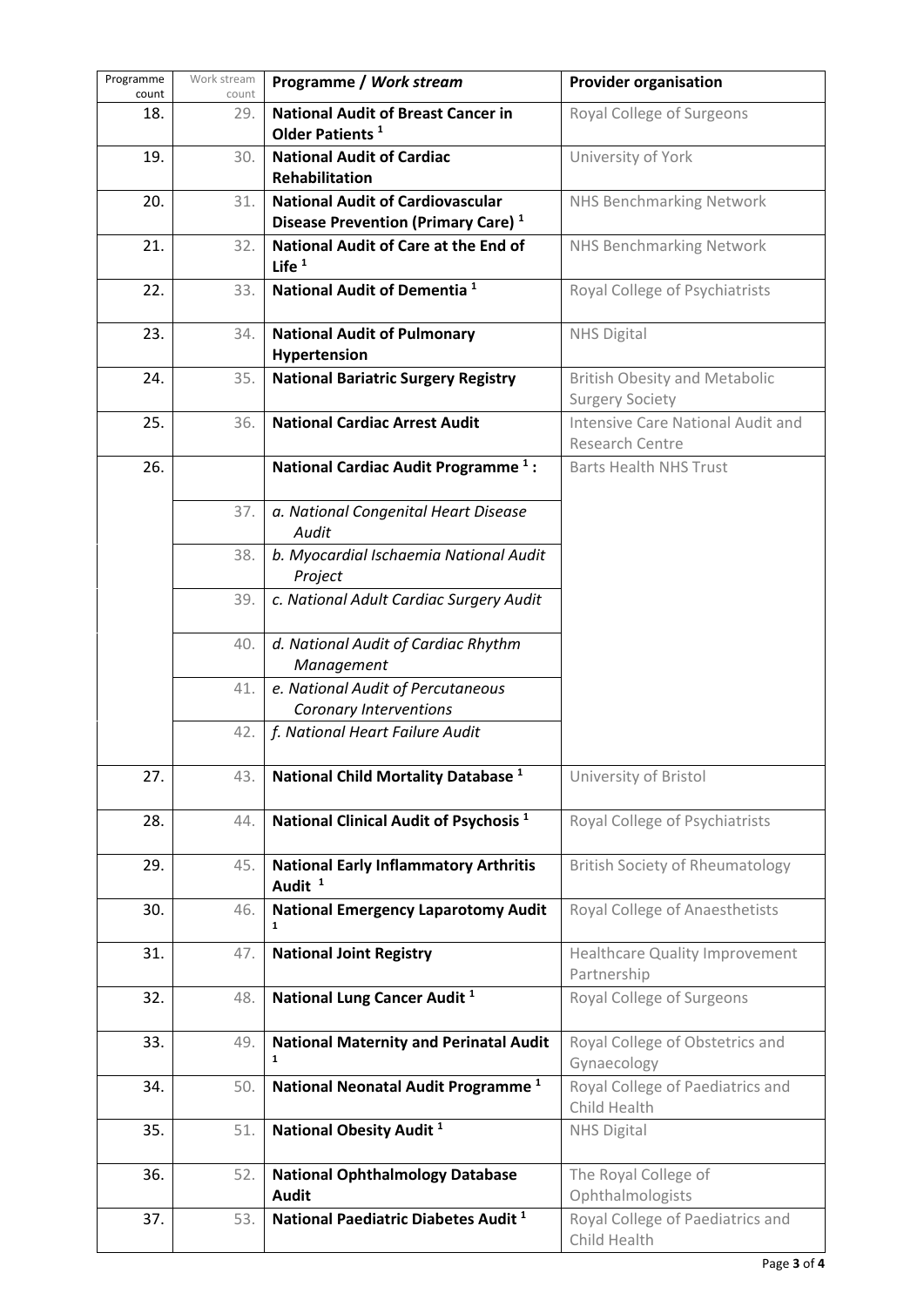| Programme<br>count | Work stream<br>count | Programme / Work stream                                                                   | <b>Provider organisation</b>                                   |
|--------------------|----------------------|-------------------------------------------------------------------------------------------|----------------------------------------------------------------|
| 18.                | 29.                  | <b>National Audit of Breast Cancer in</b><br>Older Patients <sup>1</sup>                  | Royal College of Surgeons                                      |
| 19.                | 30.                  | <b>National Audit of Cardiac</b><br>Rehabilitation                                        | University of York                                             |
| 20.                | 31.                  | <b>National Audit of Cardiovascular</b><br>Disease Prevention (Primary Care) <sup>1</sup> | <b>NHS Benchmarking Network</b>                                |
| 21.                | 32.                  | National Audit of Care at the End of<br>Life $1$                                          | <b>NHS Benchmarking Network</b>                                |
| 22.                | 33.                  | National Audit of Dementia <sup>1</sup>                                                   | Royal College of Psychiatrists                                 |
| 23.                | 34.                  | <b>National Audit of Pulmonary</b><br>Hypertension                                        | <b>NHS Digital</b>                                             |
| 24.                | 35.                  | <b>National Bariatric Surgery Registry</b>                                                | <b>British Obesity and Metabolic</b><br><b>Surgery Society</b> |
| 25.                | 36.                  | <b>National Cardiac Arrest Audit</b>                                                      | Intensive Care National Audit and<br>Research Centre           |
| 26.                |                      | National Cardiac Audit Programme <sup>1</sup> :                                           | <b>Barts Health NHS Trust</b>                                  |
|                    | 37.                  | a. National Congenital Heart Disease<br>Audit                                             |                                                                |
|                    | 38.                  | b. Myocardial Ischaemia National Audit<br>Project                                         |                                                                |
|                    | 39.                  | c. National Adult Cardiac Surgery Audit                                                   |                                                                |
|                    | 40.                  | d. National Audit of Cardiac Rhythm<br>Management                                         |                                                                |
|                    | 41.                  | e. National Audit of Percutaneous<br>Coronary Interventions                               |                                                                |
|                    | 42.                  | f. National Heart Failure Audit                                                           |                                                                |
| 27.                | 43.                  | National Child Mortality Database <sup>1</sup>                                            | University of Bristol                                          |
| 28.                | 44.                  | National Clinical Audit of Psychosis <sup>1</sup>                                         | Royal College of Psychiatrists                                 |
| 29.                | 45.                  | <b>National Early Inflammatory Arthritis</b><br>Audit <sup>1</sup>                        | <b>British Society of Rheumatology</b>                         |
| 30.                | 46.                  | <b>National Emergency Laparotomy Audit</b><br>$\mathbf{1}$                                | Royal College of Anaesthetists                                 |
| 31.                | 47.                  | <b>National Joint Registry</b>                                                            | <b>Healthcare Quality Improvement</b><br>Partnership           |
| 32.                | 48.                  | National Lung Cancer Audit <sup>1</sup>                                                   | Royal College of Surgeons                                      |
| 33.                | 49.                  | <b>National Maternity and Perinatal Audit</b><br>$\mathbf{1}$                             | Royal College of Obstetrics and<br>Gynaecology                 |
| 34.                | 50.                  | National Neonatal Audit Programme <sup>1</sup>                                            | Royal College of Paediatrics and<br>Child Health               |
| 35.                | 51.                  | National Obesity Audit <sup>1</sup>                                                       | <b>NHS Digital</b>                                             |
| 36.                | 52.                  | <b>National Ophthalmology Database</b><br><b>Audit</b>                                    | The Royal College of<br>Ophthalmologists                       |
| 37.                | 53.                  | National Paediatric Diabetes Audit <sup>1</sup>                                           | Royal College of Paediatrics and<br>Child Health               |